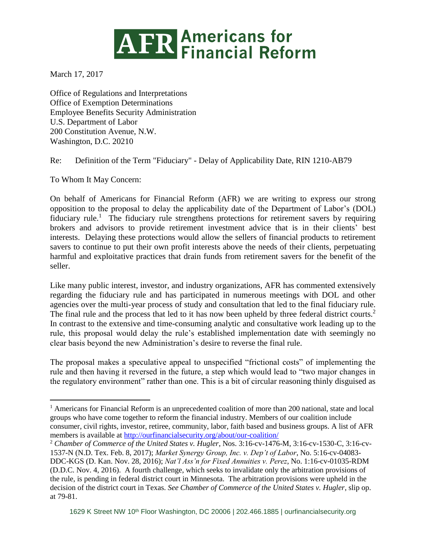# **ATR Americans for<br>ATR Financial Reform**

March 17, 2017

Office of Regulations and Interpretations Office of Exemption Determinations Employee Benefits Security Administration U.S. Department of Labor 200 Constitution Avenue, N.W. Washington, D.C. 20210

Re: Definition of the Term "Fiduciary" - Delay of Applicability Date, RIN 1210-AB79

To Whom It May Concern:

 $\overline{a}$ 

On behalf of Americans for Financial Reform (AFR) we are writing to express our strong opposition to the proposal to delay the applicability date of the Department of Labor's (DOL) fiduciary rule.<sup>1</sup> The fiduciary rule strengthens protections for retirement savers by requiring brokers and advisors to provide retirement investment advice that is in their clients' best interests. Delaying these protections would allow the sellers of financial products to retirement savers to continue to put their own profit interests above the needs of their clients, perpetuating harmful and exploitative practices that drain funds from retirement savers for the benefit of the seller.

Like many public interest, investor, and industry organizations, AFR has commented extensively regarding the fiduciary rule and has participated in numerous meetings with DOL and other agencies over the multi-year process of study and consultation that led to the final fiduciary rule. The final rule and the process that led to it has now been upheld by three federal district courts.<sup>2</sup> In contrast to the extensive and time-consuming analytic and consultative work leading up to the rule, this proposal would delay the rule's established implementation date with seemingly no clear basis beyond the new Administration's desire to reverse the final rule.

The proposal makes a speculative appeal to unspecified "frictional costs" of implementing the rule and then having it reversed in the future, a step which would lead to "two major changes in the regulatory environment" rather than one. This is a bit of circular reasoning thinly disguised as

<sup>&</sup>lt;sup>1</sup> Americans for Financial Reform is an unprecedented coalition of more than 200 national, state and local groups who have come together to reform the financial industry. Members of our coalition include consumer, civil rights, investor, retiree, community, labor, faith based and business groups. A list of AFR members is available at<http://ourfinancialsecurity.org/about/our-coalition/>

<sup>2</sup> *Chamber of Commerce of the United States v. Hugler*, Nos. 3:16-cv-1476-M, 3:16-cv-1530-C, 3:16-cv-1537-N (N.D. Tex. Feb. 8, 2017); *Market Synergy Group, Inc. v. Dep't of Labor*, No. 5:16-cv-04083- DDC-KGS (D. Kan. Nov. 28, 2016); *Nat'l Ass'n for Fixed Annuities v. Perez*, No. 1:16-cv-01035-RDM (D.D.C. Nov. 4, 2016). A fourth challenge, which seeks to invalidate only the arbitration provisions of the rule, is pending in federal district court in Minnesota. The arbitration provisions were upheld in the decision of the district court in Texas. *See Chamber of Commerce of the United States v. Hugler*, slip op. at 79-81.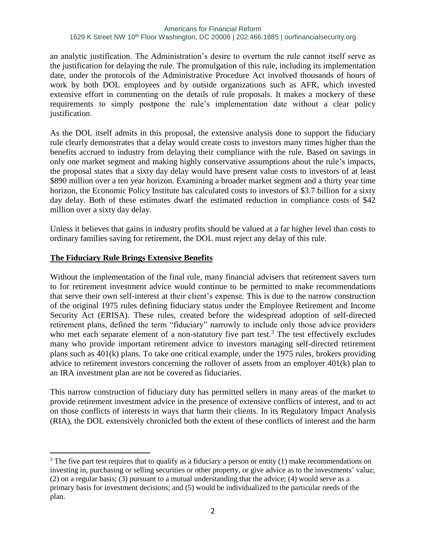an analytic justification. The Administration's desire to overturn the rule cannot itself serve as the justification for delaying the rule. The promulgation of this rule, including its implementation date, under the protocols of the Administrative Procedure Act involved thousands of hours of work by both DOL employees and by outside organizations such as AFR, which invested extensive effort in commenting on the details of rule proposals. It makes a mockery of these requirements to simply postpone the rule's implementation date without a clear policy justification.

As the DOL itself admits in this proposal, the extensive analysis done to support the fiduciary rule clearly demonstrates that a delay would create costs to investors many times higher than the benefits accrued to industry from delaying their compliance with the rule. Based on savings in only one market segment and making highly conservative assumptions about the rule's impacts, the proposal states that a sixty day delay would have present value costs to investors of at least \$890 million over a ten year horizon. Examining a broader market segment and a thirty year time horizon, the Economic Policy Institute has calculated costs to investors of \$3.7 billion for a sixty day delay. Both of these estimates dwarf the estimated reduction in compliance costs of \$42 million over a sixty day delay.

Unless it believes that gains in industry profits should be valued at a far higher level than costs to ordinary families saving for retirement, the DOL must reject any delay of this rule.

## **The Fiduciary Rule Brings Extensive Benefits**

 $\overline{a}$ 

Without the implementation of the final rule, many financial advisers that retirement savers turn to for retirement investment advice would continue to be permitted to make recommendations that serve their own self-interest at their client's expense. This is due to the narrow construction of the original 1975 rules defining fiduciary status under the Employee Retirement and Income Security Act (ERISA). These rules, created before the widespread adoption of self-directed retirement plans, defined the term "fiduciary" narrowly to include only those advice providers who met each separate element of a non-statutory five part test.<sup>3</sup> The test effectively excludes many who provide important retirement advice to investors managing self-directed retirement plans such as 401(k) plans. To take one critical example, under the 1975 rules, brokers providing advice to retirement investors concerning the rollover of assets from an employer 401(k) plan to an IRA investment plan are not be covered as fiduciaries.

This narrow construction of fiduciary duty has permitted sellers in many areas of the market to provide retirement investment advice in the presence of extensive conflicts of interest, and to act on those conflicts of interests in ways that harm their clients. In its Regulatory Impact Analysis (RIA), the DOL extensively chronicled both the extent of these conflicts of interest and the harm

<sup>&</sup>lt;sup>3</sup> The five part test requires that to qualify as a fiduciary a person or entity (1) make recommendations on investing in, purchasing or selling securities or other property, or give advice as to the investments' value; (2) on a regular basis; (3) pursuant to a mutual understanding that the advice; (4) would serve as a primary basis for investment decisions; and (5) would be individualized to the particular needs of the plan.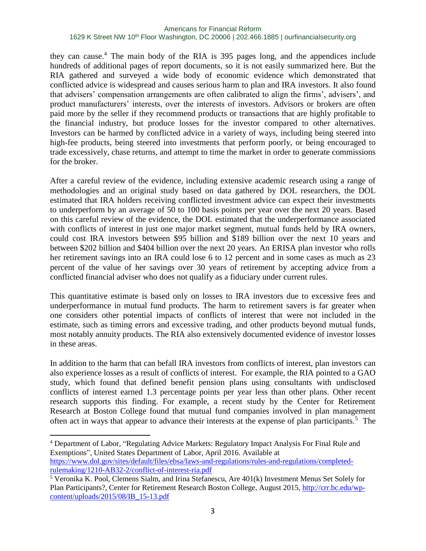they can cause.<sup>4</sup> The main body of the RIA is 395 pages long, and the appendices include hundreds of additional pages of report documents, so it is not easily summarized here. But the RIA gathered and surveyed a wide body of economic evidence which demonstrated that conflicted advice is widespread and causes serious harm to plan and IRA investors. It also found that advisers' compensation arrangements are often calibrated to align the firms', advisers', and product manufacturers' interests, over the interests of investors. Advisors or brokers are often paid more by the seller if they recommend products or transactions that are highly profitable to the financial industry, but produce losses for the investor compared to other alternatives. Investors can be harmed by conflicted advice in a variety of ways, including being steered into high-fee products, being steered into investments that perform poorly, or being encouraged to trade excessively, chase returns, and attempt to time the market in order to generate commissions for the broker.

After a careful review of the evidence, including extensive academic research using a range of methodologies and an original study based on data gathered by DOL researchers, the DOL estimated that IRA holders receiving conflicted investment advice can expect their investments to underperform by an average of 50 to 100 basis points per year over the next 20 years. Based on this careful review of the evidence, the DOL estimated that the underperformance associated with conflicts of interest in just one major market segment, mutual funds held by IRA owners, could cost IRA investors between \$95 billion and \$189 billion over the next 10 years and between \$202 billion and \$404 billion over the next 20 years. An ERISA plan investor who rolls her retirement savings into an IRA could lose 6 to 12 percent and in some cases as much as 23 percent of the value of her savings over 30 years of retirement by accepting advice from a conflicted financial adviser who does not qualify as a fiduciary under current rules.

This quantitative estimate is based only on losses to IRA investors due to excessive fees and underperformance in mutual fund products. The harm to retirement savers is far greater when one considers other potential impacts of conflicts of interest that were not included in the estimate, such as timing errors and excessive trading, and other products beyond mutual funds, most notably annuity products. The RIA also extensively documented evidence of investor losses in these areas.

In addition to the harm that can befall IRA investors from conflicts of interest, plan investors can also experience losses as a result of conflicts of interest. For example, the RIA pointed to a GAO study, which found that defined benefit pension plans using consultants with undisclosed conflicts of interest earned 1.3 percentage points per year less than other plans. Other recent research supports this finding. For example, a recent study by the Center for Retirement Research at Boston College found that mutual fund companies involved in plan management often act in ways that appear to advance their interests at the expense of plan participants.<sup>5</sup> The

 $\overline{a}$ 

<sup>4</sup> Department of Labor, "Regulating Advice Markets: Regulatory Impact Analysis For Final Rule and Exemptions", United States Department of Labor, April 2016. Available at [https://www.dol.gov/sites/default/files/ebsa/laws-and-regulations/rules-and-regulations/completed](https://www.dol.gov/sites/default/files/ebsa/laws-and-regulations/rules-and-regulations/completed-rulemaking/1210-AB32-2/conflict-of-interest-ria.pdf)[rulemaking/1210-AB32-2/conflict-of-interest-ria.pdf](https://www.dol.gov/sites/default/files/ebsa/laws-and-regulations/rules-and-regulations/completed-rulemaking/1210-AB32-2/conflict-of-interest-ria.pdf)

<sup>5</sup> Veronika K. Pool, Clemens Sialm, and Irina Stefanescu, Are 401(k) Investment Menus Set Solely for Plan Participants?, Center for Retirement Research Boston College, August 2015, [http://crr.bc.edu/wp](http://crr.bc.edu/wp-content/uploads/2015/08/IB_15-13.pdf)[content/uploads/2015/08/IB\\_15-13.pdf](http://crr.bc.edu/wp-content/uploads/2015/08/IB_15-13.pdf)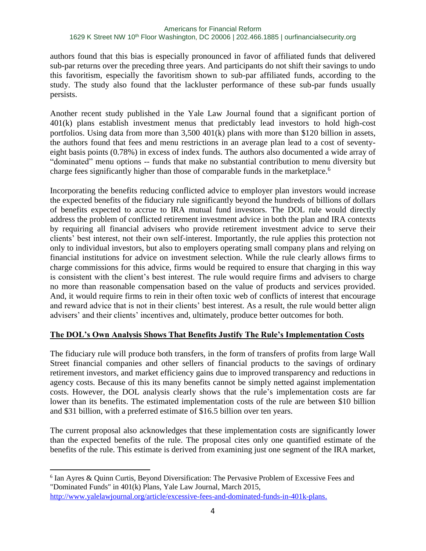authors found that this bias is especially pronounced in favor of affiliated funds that delivered sub-par returns over the preceding three years. And participants do not shift their savings to undo this favoritism, especially the favoritism shown to sub-par affiliated funds, according to the study. The study also found that the lackluster performance of these sub-par funds usually persists.

Another recent study published in the Yale Law Journal found that a significant portion of 401(k) plans establish investment menus that predictably lead investors to hold high-cost portfolios. Using data from more than 3,500 401(k) plans with more than \$120 billion in assets, the authors found that fees and menu restrictions in an average plan lead to a cost of seventyeight basis points (0.78%) in excess of index funds. The authors also documented a wide array of "dominated" menu options -- funds that make no substantial contribution to menu diversity but charge fees significantly higher than those of comparable funds in the marketplace.<sup>6</sup>

Incorporating the benefits reducing conflicted advice to employer plan investors would increase the expected benefits of the fiduciary rule significantly beyond the hundreds of billions of dollars of benefits expected to accrue to IRA mutual fund investors. The DOL rule would directly address the problem of conflicted retirement investment advice in both the plan and IRA contexts by requiring all financial advisers who provide retirement investment advice to serve their clients' best interest, not their own self-interest. Importantly, the rule applies this protection not only to individual investors, but also to employers operating small company plans and relying on financial institutions for advice on investment selection. While the rule clearly allows firms to charge commissions for this advice, firms would be required to ensure that charging in this way is consistent with the client's best interest. The rule would require firms and advisers to charge no more than reasonable compensation based on the value of products and services provided. And, it would require firms to rein in their often toxic web of conflicts of interest that encourage and reward advice that is not in their clients' best interest. As a result, the rule would better align advisers' and their clients' incentives and, ultimately, produce better outcomes for both.

## **The DOL's Own Analysis Shows That Benefits Justify The Rule's Implementation Costs**

The fiduciary rule will produce both transfers, in the form of transfers of profits from large Wall Street financial companies and other sellers of financial products to the savings of ordinary retirement investors, and market efficiency gains due to improved transparency and reductions in agency costs. Because of this its many benefits cannot be simply netted against implementation costs. However, the DOL analysis clearly shows that the rule's implementation costs are far lower than its benefits. The estimated implementation costs of the rule are between \$10 billion and \$31 billion, with a preferred estimate of \$16.5 billion over ten years.

The current proposal also acknowledges that these implementation costs are significantly lower than the expected benefits of the rule. The proposal cites only one quantified estimate of the benefits of the rule. This estimate is derived from examining just one segment of the IRA market,

 $\overline{a}$ <sup>6</sup> Ian Ayres & Quinn Curtis, Beyond Diversification: The Pervasive Problem of Excessive Fees and "Dominated Funds" in 401(k) Plans, Yale Law Journal, March 2015,

<http://www.yalelawjournal.org/article/excessive-fees-and-dominated-funds-in-401k-plans>.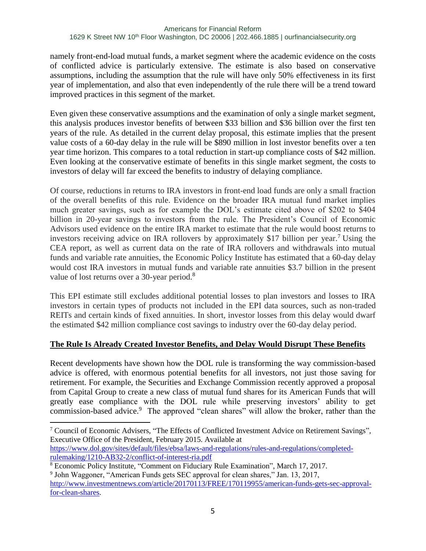namely front-end-load mutual funds, a market segment where the academic evidence on the costs of conflicted advice is particularly extensive. The estimate is also based on conservative assumptions, including the assumption that the rule will have only 50% effectiveness in its first year of implementation, and also that even independently of the rule there will be a trend toward improved practices in this segment of the market.

Even given these conservative assumptions and the examination of only a single market segment, this analysis produces investor benefits of between \$33 billion and \$36 billion over the first ten years of the rule. As detailed in the current delay proposal, this estimate implies that the present value costs of a 60-day delay in the rule will be \$890 million in lost investor benefits over a ten year time horizon. This compares to a total reduction in start-up compliance costs of \$42 million. Even looking at the conservative estimate of benefits in this single market segment, the costs to investors of delay will far exceed the benefits to industry of delaying compliance.

Of course, reductions in returns to IRA investors in front-end load funds are only a small fraction of the overall benefits of this rule. Evidence on the broader IRA mutual fund market implies much greater savings, such as for example the DOL's estimate cited above of \$202 to \$404 billion in 20-year savings to investors from the rule. The President's Council of Economic Advisors used evidence on the entire IRA market to estimate that the rule would boost returns to investors receiving advice on IRA rollovers by approximately \$17 billion per year.<sup>7</sup> Using the CEA report, as well as current data on the rate of IRA rollovers and withdrawals into mutual funds and variable rate annuities, the Economic Policy Institute has estimated that a 60-day delay would cost IRA investors in mutual funds and variable rate annuities \$3.7 billion in the present value of lost returns over a 30-year period.<sup>8</sup>

This EPI estimate still excludes additional potential losses to plan investors and losses to IRA investors in certain types of products not included in the EPI data sources, such as non-traded REITs and certain kinds of fixed annuities. In short, investor losses from this delay would dwarf the estimated \$42 million compliance cost savings to industry over the 60-day delay period.

## **The Rule Is Already Created Investor Benefits, and Delay Would Disrupt These Benefits**

Recent developments have shown how the DOL rule is transforming the way commission-based advice is offered, with enormous potential benefits for all investors, not just those saving for retirement. For example, the Securities and Exchange Commission recently approved a proposal from Capital Group to create a new class of mutual fund shares for its American Funds that will greatly ease compliance with the DOL rule while preserving investors' ability to get commission-based advice.<sup>9</sup> The approved "clean shares" will allow the broker, rather than the

<sup>7</sup> Council of Economic Advisers, "The Effects of Conflicted Investment Advice on Retirement Savings", Executive Office of the President, February 2015. Available at [https://www.dol.gov/sites/default/files/ebsa/laws-and-regulations/rules-and-regulations/completed](https://www.dol.gov/sites/default/files/ebsa/laws-and-regulations/rules-and-regulations/completed-rulemaking/1210-AB32-2/conflict-of-interest-ria.pdf)[rulemaking/1210-AB32-2/conflict-of-interest-ria.pdf](https://www.dol.gov/sites/default/files/ebsa/laws-and-regulations/rules-and-regulations/completed-rulemaking/1210-AB32-2/conflict-of-interest-ria.pdf)

 $\overline{a}$ 

<sup>8</sup> Economic Policy Institute, "Comment on Fiduciary Rule Examination", March 17, 2017.

<sup>&</sup>lt;sup>9</sup> John Waggoner, "American Funds gets SEC approval for clean shares," Jan. 13, 2017,

[http://www.investmentnews.com/article/20170113/FREE/170119955/american-funds-gets-sec-approval](http://www.investmentnews.com/article/20170113/FREE/170119955/american-funds-gets-sec-approval-for-clean-shares)[for-clean-shares.](http://www.investmentnews.com/article/20170113/FREE/170119955/american-funds-gets-sec-approval-for-clean-shares)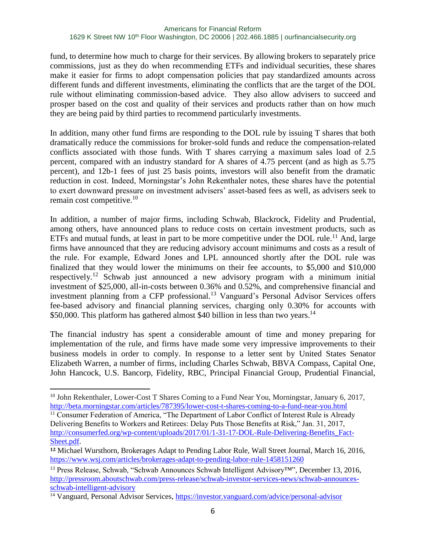fund, to determine how much to charge for their services. By allowing brokers to separately price commissions, just as they do when recommending ETFs and individual securities, these shares make it easier for firms to adopt compensation policies that pay standardized amounts across different funds and different investments, eliminating the conflicts that are the target of the DOL rule without eliminating commission-based advice. They also allow advisers to succeed and prosper based on the cost and quality of their services and products rather than on how much they are being paid by third parties to recommend particularly investments.

In addition, many other fund firms are responding to the DOL rule by issuing T shares that both dramatically reduce the commissions for broker-sold funds and reduce the compensation-related conflicts associated with those funds. With T shares carrying a maximum sales load of 2.5 percent, compared with an industry standard for A shares of 4.75 percent (and as high as 5.75 percent), and 12b-1 fees of just 25 basis points, investors will also benefit from the dramatic reduction in cost. Indeed, Morningstar's John Rekenthaler notes, these shares have the potential to exert downward pressure on investment advisers' asset-based fees as well, as advisers seek to remain cost competitive. $10$ 

In addition, a number of major firms, including Schwab, Blackrock, Fidelity and Prudential, among others, have announced plans to reduce costs on certain investment products, such as ETFs and mutual funds, at least in part to be more competitive under the DOL rule.<sup>11</sup> And, large firms have announced that they are reducing advisory account minimums and costs as a result of the rule. For example, Edward Jones and LPL announced shortly after the DOL rule was finalized that they would lower the minimums on their fee accounts, to \$5,000 and \$10,000 respectively.<sup>12</sup> Schwab just announced a new advisory program with a minimum initial investment of \$25,000, all-in-costs between 0.36% and 0.52%, and comprehensive financial and investment planning from a CFP professional.<sup>13</sup> Vanguard's Personal Advisor Services offers fee-based advisory and financial planning services, charging only 0.30% for accounts with \$50,000. This platform has gathered almost \$40 billion in less than two years.<sup>14</sup>

The financial industry has spent a considerable amount of time and money preparing for implementation of the rule, and firms have made some very impressive improvements to their business models in order to comply. In response to a letter sent by United States Senator Elizabeth Warren, a number of firms, including Charles Schwab, BBVA Compass, Capital One, John Hancock, U.S. Bancorp, Fidelity, RBC, Principal Financial Group, Prudential Financial,

 $\overline{a}$ 

<sup>&</sup>lt;sup>10</sup> John Rekenthaler, Lower-Cost T Shares Coming to a Fund Near You, Morningstar, January 6, 2017, <http://beta.morningstar.com/articles/787395/lower-cost-t-shares-coming-to-a-fund-near-you.html>

<sup>&</sup>lt;sup>11</sup> Consumer Federation of America, "The Department of Labor Conflict of Interest Rule is Already Delivering Benefits to Workers and Retirees: Delay Puts Those Benefits at Risk," Jan. 31, 2017, [http://consumerfed.org/wp-content/uploads/2017/01/1-31-17-DOL-Rule-Delivering-Benefits\\_Fact-](http://consumerfed.org/wp-content/uploads/2017/01/1-31-17-DOL-Rule-Delivering-Benefits_Fact-Sheet.pdf)[Sheet.pdf.](http://consumerfed.org/wp-content/uploads/2017/01/1-31-17-DOL-Rule-Delivering-Benefits_Fact-Sheet.pdf)

**<sup>12</sup>** Michael Wursthorn, Brokerages Adapt to Pending Labor Rule, Wall Street Journal, March 16, 2016, <https://www.wsj.com/articles/brokerages-adapt-to-pending-labor-rule-1458151260>

<sup>13</sup> Press Release, Schwab, "Schwab Announces Schwab Intelligent Advisory™", December 13, 2016, [http://pressroom.aboutschwab.com/press-release/schwab-investor-services-news/schwab-announces](http://pressroom.aboutschwab.com/press-release/schwab-investor-services-news/schwab-announces-schwab-intelligent-advisory)[schwab-intelligent-advisory](http://pressroom.aboutschwab.com/press-release/schwab-investor-services-news/schwab-announces-schwab-intelligent-advisory)

<sup>&</sup>lt;sup>14</sup> Vanguard, Personal Advisor Services,<https://investor.vanguard.com/advice/personal-advisor>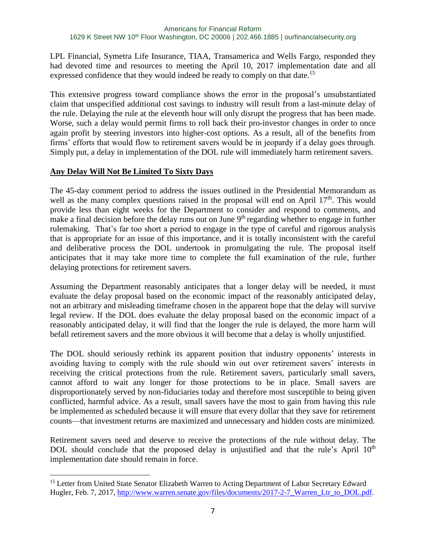LPL Financial, Symetra Life Insurance, TIAA, Transamerica and Wells Fargo, responded they had devoted time and resources to meeting the April 10, 2017 implementation date and all expressed confidence that they would indeed be ready to comply on that date.<sup>15</sup>

This extensive progress toward compliance shows the error in the proposal's unsubstantiated claim that unspecified additional cost savings to industry will result from a last-minute delay of the rule. Delaying the rule at the eleventh hour will only disrupt the progress that has been made. Worse, such a delay would permit firms to roll back their pro-investor changes in order to once again profit by steering investors into higher-cost options. As a result, all of the benefits from firms' efforts that would flow to retirement savers would be in jeopardy if a delay goes through. Simply put, a delay in implementation of the DOL rule will immediately harm retirement savers.

## **Any Delay Will Not Be Limited To Sixty Days**

 $\overline{a}$ 

The 45-day comment period to address the issues outlined in the Presidential Memorandum as well as the many complex questions raised in the proposal will end on April 17<sup>th</sup>. This would provide less than eight weeks for the Department to consider and respond to comments, and make a final decision before the delay runs out on June  $9<sup>th</sup>$  regarding whether to engage in further rulemaking. That's far too short a period to engage in the type of careful and rigorous analysis that is appropriate for an issue of this importance, and it is totally inconsistent with the careful and deliberative process the DOL undertook in promulgating the rule. The proposal itself anticipates that it may take more time to complete the full examination of the rule, further delaying protections for retirement savers.

Assuming the Department reasonably anticipates that a longer delay will be needed, it must evaluate the delay proposal based on the economic impact of the reasonably anticipated delay, not an arbitrary and misleading timeframe chosen in the apparent hope that the delay will survive legal review. If the DOL does evaluate the delay proposal based on the economic impact of a reasonably anticipated delay, it will find that the longer the rule is delayed, the more harm will befall retirement savers and the more obvious it will become that a delay is wholly unjustified.

The DOL should seriously rethink its apparent position that industry opponents' interests in avoiding having to comply with the rule should win out over retirement savers' interests in receiving the critical protections from the rule. Retirement savers, particularly small savers, cannot afford to wait any longer for those protections to be in place. Small savers are disproportionately served by non-fiduciaries today and therefore most susceptible to being given conflicted, harmful advice. As a result, small savers have the most to gain from having this rule be implemented as scheduled because it will ensure that every dollar that they save for retirement counts—that investment returns are maximized and unnecessary and hidden costs are minimized.

Retirement savers need and deserve to receive the protections of the rule without delay. The DOL should conclude that the proposed delay is unjustified and that the rule's April 10<sup>th</sup> implementation date should remain in force.

<sup>&</sup>lt;sup>15</sup> Letter from United State Senator Elizabeth Warren to Acting Department of Labor Secretary Edward Hugler, Feb. 7, 2017, [http://www.warren.senate.gov/files/documents/2017-2-7\\_Warren\\_Ltr\\_to\\_DOL.pdf.](http://www.warren.senate.gov/files/documents/2017-2-7_Warren_Ltr_to_DOL.pdf)